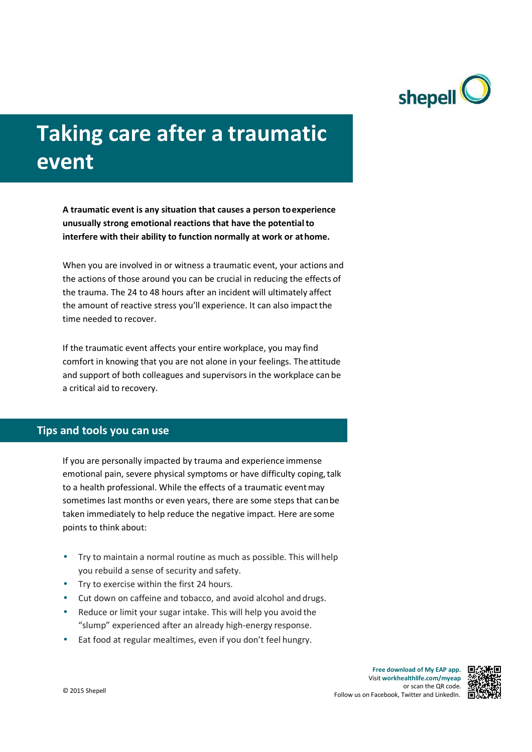

# **Taking care after a traumatic event**

**A traumatic event is any situation that causes a person to experience unusually strong emotional reactions that have the potential to interfere with their ability to function normally at work or at home.**

When you are involved in or witness a traumatic event, your actions and the actions of those around you can be crucial in reducing the effects of the trauma. The 24 to 48 hours after an incident will ultimately affect the amount of reactive stress you'll experience. It can also impact the time needed to recover.

If the traumatic event affects your entire workplace, you may find comfort in knowing that you are not alone in your feelings. The attitude and support of both colleagues and supervisors in the workplace can be a critical aid to recovery.

### **Tips and tools you can use**

If you are personally impacted by trauma and experience immense emotional pain, severe physical symptoms or have difficulty coping, talk to a health professional. While the effects of a traumatic event may sometimes last months or even years, there are some steps that can be taken immediately to help reduce the negative impact. Here are some points to think about:

- Try to maintain a normal routine as much as possible. This will help you rebuild a sense of security and safety.
- Try to exercise within the first 24 hours.
- Cut down on caffeine and tobacco, and avoid alcohol and drugs.
- Reduce or limit your sugar intake. This will help you avoid the "slump" experienced after an already high-energy response.
- Eat food at regular mealtimes, even if you don't feel hungry.

**Free download of My EAP app.** Visit **workhealthlife.com/myeap** or scan the QR code. Follow us on Facebook, Twitter and LinkedIn. © 2015 Shepell